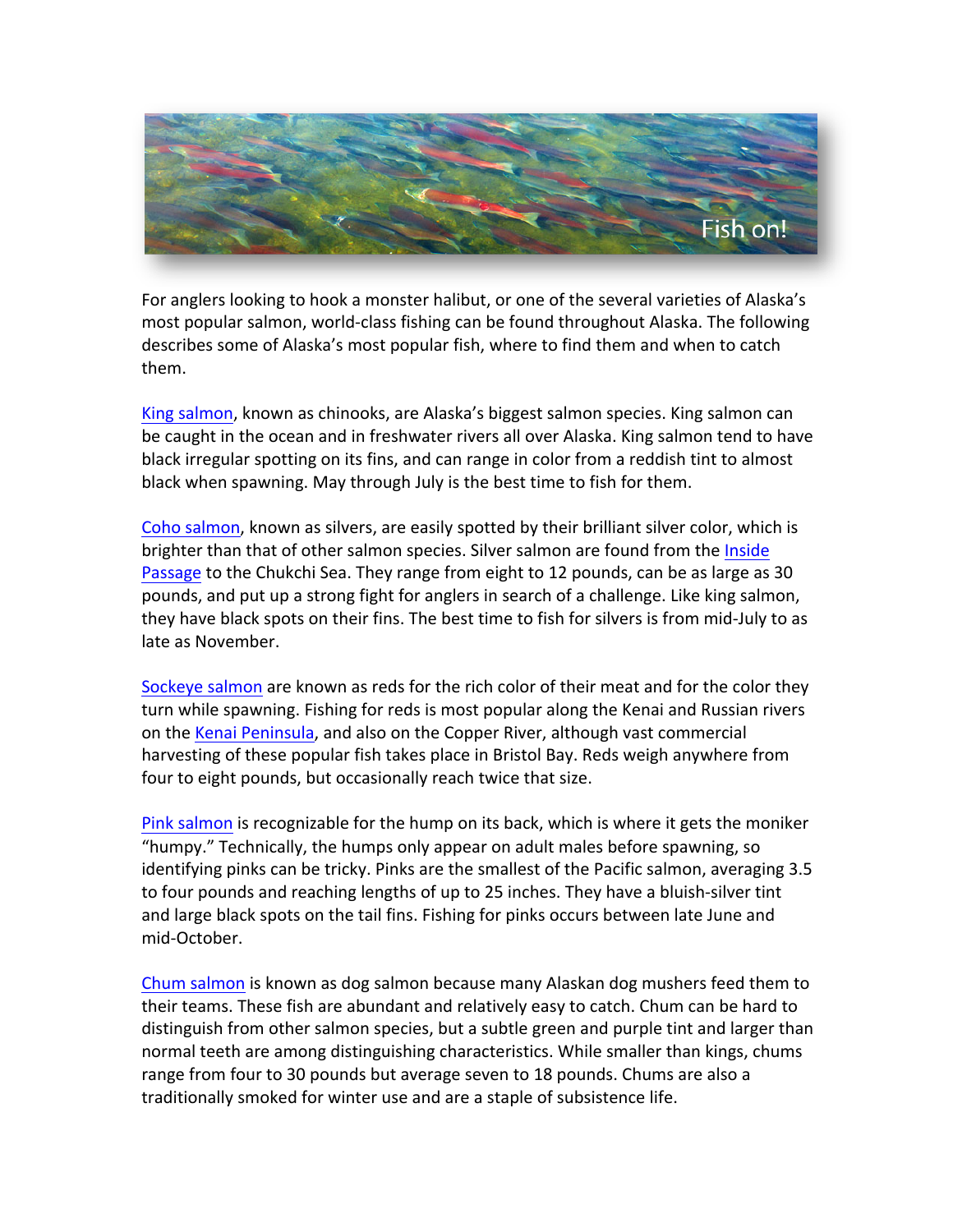

For anglers looking to hook a monster halibut, or one of the several varieties of Alaska's most popular salmon, world-class fishing can be found throughout Alaska. The following describes some of Alaska's most popular fish, where to find them and when to catch them.

King salmon, known as chinooks, are Alaska's biggest salmon species. King salmon can be caught in the ocean and in freshwater rivers all over Alaska. King salmon tend to have black irregular spotting on its fins, and can range in color from a reddish tint to almost black when spawning. May through July is the best time to fish for them.

Coho salmon, known as silvers, are easily spotted by their brilliant silver color, which is brighter than that of other salmon species. Silver salmon are found from the Inside Passage to the Chukchi Sea. They range from eight to 12 pounds, can be as large as 30 pounds, and put up a strong fight for anglers in search of a challenge. Like king salmon, they have black spots on their fins. The best time to fish for silvers is from mid-July to as late as November.

Sockeye salmon are known as reds for the rich color of their meat and for the color they turn while spawning. Fishing for reds is most popular along the Kenai and Russian rivers on the Kenai Peninsula, and also on the Copper River, although vast commercial harvesting of these popular fish takes place in Bristol Bay. Reds weigh anywhere from four to eight pounds, but occasionally reach twice that size.

Pink salmon is recognizable for the hump on its back, which is where it gets the moniker "humpy." Technically, the humps only appear on adult males before spawning, so identifying pinks can be tricky. Pinks are the smallest of the Pacific salmon, averaging 3.5 to four pounds and reaching lengths of up to 25 inches. They have a bluish-silver tint and large black spots on the tail fins. Fishing for pinks occurs between late June and mid-October.

Chum salmon is known as dog salmon because many Alaskan dog mushers feed them to their teams. These fish are abundant and relatively easy to catch. Chum can be hard to distinguish from other salmon species, but a subtle green and purple tint and larger than normal teeth are among distinguishing characteristics. While smaller than kings, chums range from four to 30 pounds but average seven to 18 pounds. Chums are also a traditionally smoked for winter use and are a staple of subsistence life.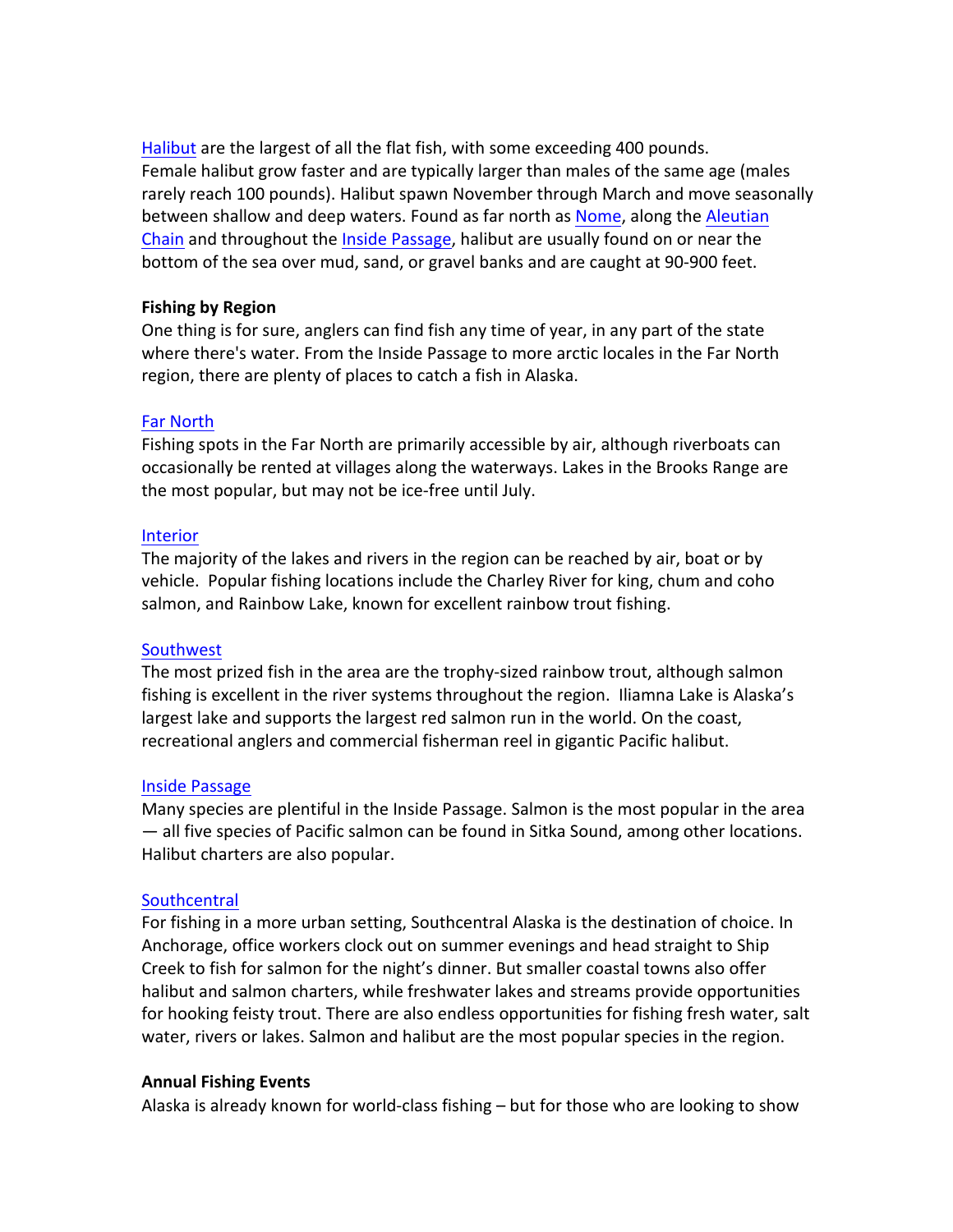Halibut are the largest of all the flat fish, with some exceeding 400 pounds. Female halibut grow faster and are typically larger than males of the same age (males rarely reach 100 pounds). Halibut spawn November through March and move seasonally between shallow and deep waters. Found as far north as Nome, along the Aleutian Chain and throughout the **Inside Passage**, halibut are usually found on or near the bottom of the sea over mud, sand, or gravel banks and are caught at 90-900 feet.

## **Fishing by Region**

One thing is for sure, anglers can find fish any time of year, in any part of the state where there's water. From the Inside Passage to more arctic locales in the Far North region, there are plenty of places to catch a fish in Alaska.

## **Far North**

Fishing spots in the Far North are primarily accessible by air, although riverboats can occasionally be rented at villages along the waterways. Lakes in the Brooks Range are the most popular, but may not be ice-free until July.

## Interior

The majority of the lakes and rivers in the region can be reached by air, boat or by vehicle. Popular fishing locations include the Charley River for king, chum and coho salmon, and Rainbow Lake, known for excellent rainbow trout fishing.

#### Southwest

The most prized fish in the area are the trophy-sized rainbow trout, although salmon fishing is excellent in the river systems throughout the region. Iliamna Lake is Alaska's largest lake and supports the largest red salmon run in the world. On the coast, recreational anglers and commercial fisherman reel in gigantic Pacific halibut.

#### **Inside Passage**

Many species are plentiful in the Inside Passage. Salmon is the most popular in the area — all five species of Pacific salmon can be found in Sitka Sound, among other locations. Halibut charters are also popular.

# **Southcentral**

For fishing in a more urban setting, Southcentral Alaska is the destination of choice. In Anchorage, office workers clock out on summer evenings and head straight to Ship Creek to fish for salmon for the night's dinner. But smaller coastal towns also offer halibut and salmon charters, while freshwater lakes and streams provide opportunities for hooking feisty trout. There are also endless opportunities for fishing fresh water, salt water, rivers or lakes. Salmon and halibut are the most popular species in the region.

#### **Annual Fishing Events**

Alaska is already known for world-class fishing  $-$  but for those who are looking to show